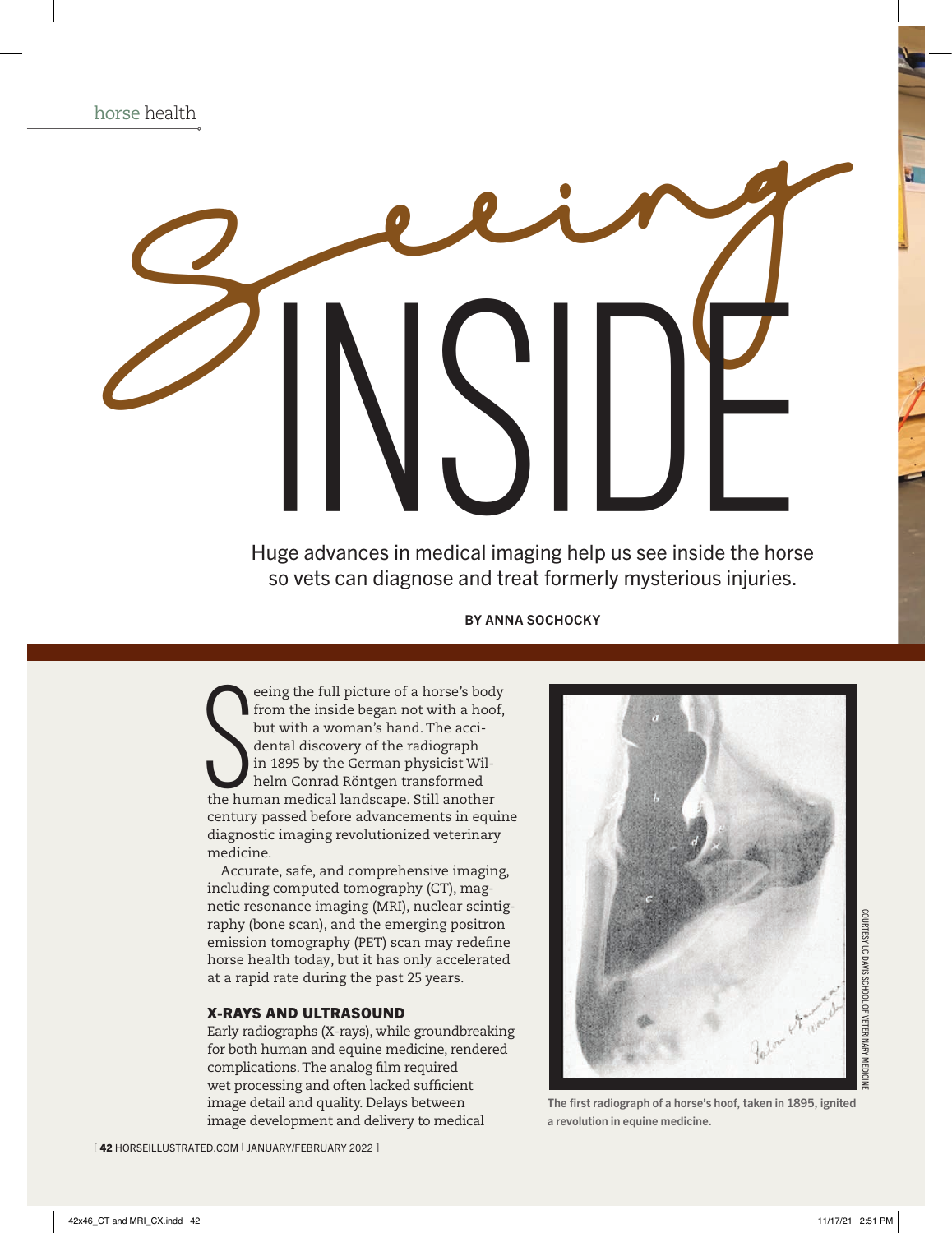

# Seeing INSIDE

Huge advances in medical imaging help us see inside the horse so vets can diagnose and treat formerly mysterious injuries.

BY ANNA SOCHOCKY

S eeing the full picture of a horse's body from the inside began not with a hoof, but with a woman's hand. The accidental discovery of the radiograph in 1895 by the German physicist Wilhelm Conrad Röntgen transformed the human medical landscape. Still another century passed before advancements in equine diagnostic imaging revolutionized veterinary medicine.

Accurate, safe, and comprehensive imaging, including computed tomography (CT), magnetic resonance imaging (MRI), nuclear scintigraphy (bone scan), and the emerging positron emission tomography (PET) scan may redefine horse health today, but it has only accelerated at a rapid rate during the past 25 years.

# X-RAYS AND ULTRASOUND

Early radiographs (X-rays), while groundbreaking for both human and equine medicine, rendered complications. The analog film required wet processing and often lacked sufficient image detail and quality. Delays between image development and delivery to medical



The first radiograph of a horse's hoof, taken in 1895, ignited a revolution in equine medicine.

[42 HORSEILLUSTRATED.COM | JANUARY/FEBRUARY 2022 ]

COURTESY UC DAVIS SCHOOL OF VETERINARY MEDICINE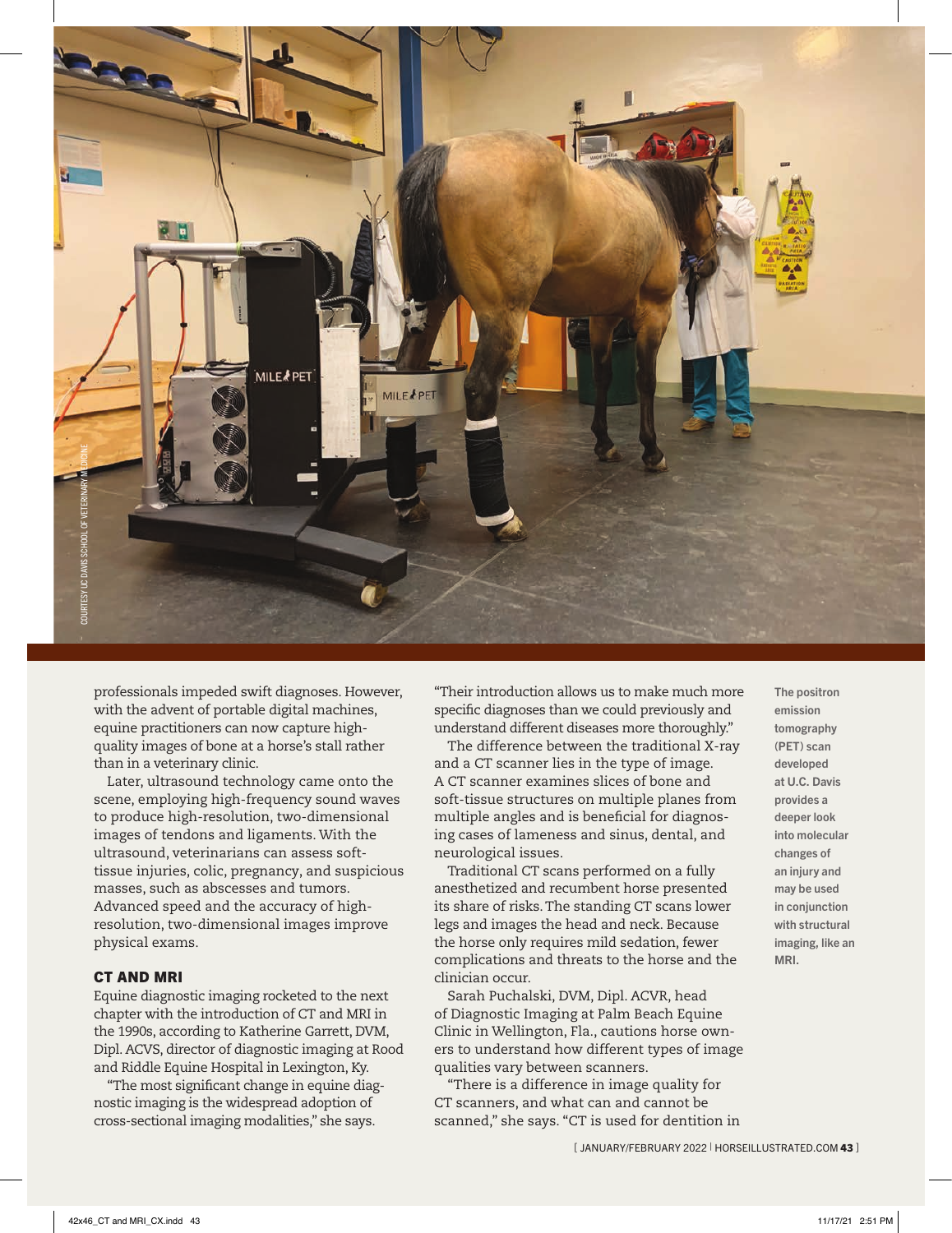

professionals impeded swift diagnoses. However, with the advent of portable digital machines, equine practitioners can now capture highquality images of bone at a horse's stall rather than in a veterinary clinic.

Later, ultrasound technology came onto the scene, employing high-frequency sound waves to produce high-resolution, two-dimensional images of tendons and ligaments. With the ultrasound, veterinarians can assess softtissue injuries, colic, pregnancy, and suspicious masses, such as abscesses and tumors. Advanced speed and the accuracy of highresolution, two-dimensional images improve physical exams.

### CT AND MRI

Equine diagnostic imaging rocketed to the next chapter with the introduction of CT and MRI in the 1990s, according to Katherine Garrett, DVM, Dipl. ACVS, director of diagnostic imaging at Rood and Riddle Equine Hospital in Lexington, Ky.

"The most significant change in equine diagnostic imaging is the widespread adoption of cross-sectional imaging modalities," she says.

"Their introduction allows us to make much more specific diagnoses than we could previously and understand different diseases more thoroughly."

The difference between the traditional X-ray and a CT scanner lies in the type of image. A CT scanner examines slices of bone and soft-tissue structures on multiple planes from multiple angles and is beneficial for diagnosing cases of lameness and sinus, dental, and neurological issues.

Traditional CT scans performed on a fully anesthetized and recumbent horse presented its share of risks. The standing CT scans lower legs and images the head and neck. Because the horse only requires mild sedation, fewer complications and threats to the horse and the clinician occur.

Sarah Puchalski, DVM, Dipl. ACVR, head of Diagnostic Imaging at Palm Beach Equine Clinic in Wellington, Fla., cautions horse owners to understand how different types of image qualities vary between scanners.

"There is a difference in image quality for CT scanners, and what can and cannot be scanned," she says. "CT is used for dentition in The positron emission tomography (PET) scan developed at U.C. Davis provides a deeper look into molecular changes of an injury and may be used in conjunction with structural imaging, like an MRI.

[JANUARY/FEBRUARY 2022 | HORSEILLUSTRATED.COM 43 ]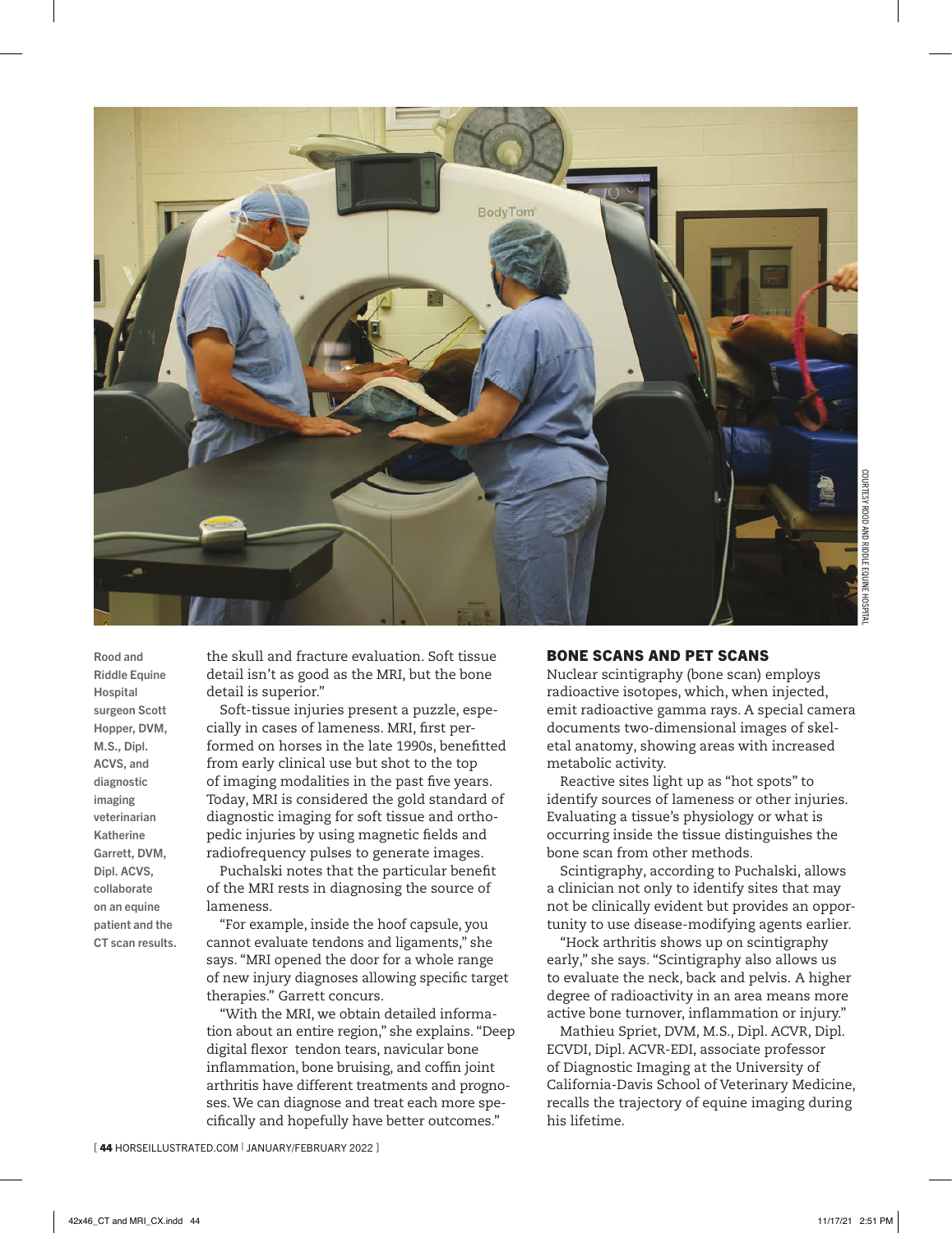

Rood and Riddle Equine Hospital surgeon Scott Hopper, DVM, M.S., Dipl. ACVS, and diagnostic imaging veterinarian Katherine Garrett, DVM, Dipl. ACVS, collaborate on an equine patient and the CT scan results. the skull and fracture evaluation. Soft tissue detail isn't as good as the MRI, but the bone detail is superior."

Soft-tissue injuries present a puzzle, especially in cases of lameness. MRI, first performed on horses in the late 1990s, benefitted from early clinical use but shot to the top of imaging modalities in the past five years. Today, MRI is considered the gold standard of diagnostic imaging for soft tissue and orthopedic injuries by using magnetic fields and radiofrequency pulses to generate images.

Puchalski notes that the particular benefit of the MRI rests in diagnosing the source of lameness.

"For example, inside the hoof capsule, you cannot evaluate tendons and ligaments," she says. "MRI opened the door for a whole range of new injury diagnoses allowing specific target therapies." Garrett concurs.

"With the MRI, we obtain detailed information about an entire region," she explains. "Deep digital flexor tendon tears, navicular bone inflammation, bone bruising, and coffin joint arthritis have different treatments and prognoses. We can diagnose and treat each more specifically and hopefully have better outcomes."

# BONE SCANS AND PET SCANS

Nuclear scintigraphy (bone scan) employs radioactive isotopes, which, when injected, emit radioactive gamma rays. A special camera documents two-dimensional images of skeletal anatomy, showing areas with increased metabolic activity.

Reactive sites light up as "hot spots" to identify sources of lameness or other injuries. Evaluating a tissue's physiology or what is occurring inside the tissue distinguishes the bone scan from other methods.

Scintigraphy, according to Puchalski, allows a clinician not only to identify sites that may not be clinically evident but provides an opportunity to use disease-modifying agents earlier.

"Hock arthritis shows up on scintigraphy early," she says. "Scintigraphy also allows us to evaluate the neck, back and pelvis. A higher degree of radioactivity in an area means more active bone turnover, inflammation or injury."

Mathieu Spriet, DVM, M.S., Dipl. ACVR, Dipl. ECVDI, Dipl. ACVR-EDI, associate professor of Diagnostic Imaging at the University of California-Davis School of Veterinary Medicine, recalls the trajectory of equine imaging during his lifetime.

[44 HORSEILLUSTRATED.COM | JANUARY/FEBRUARY 2022 ]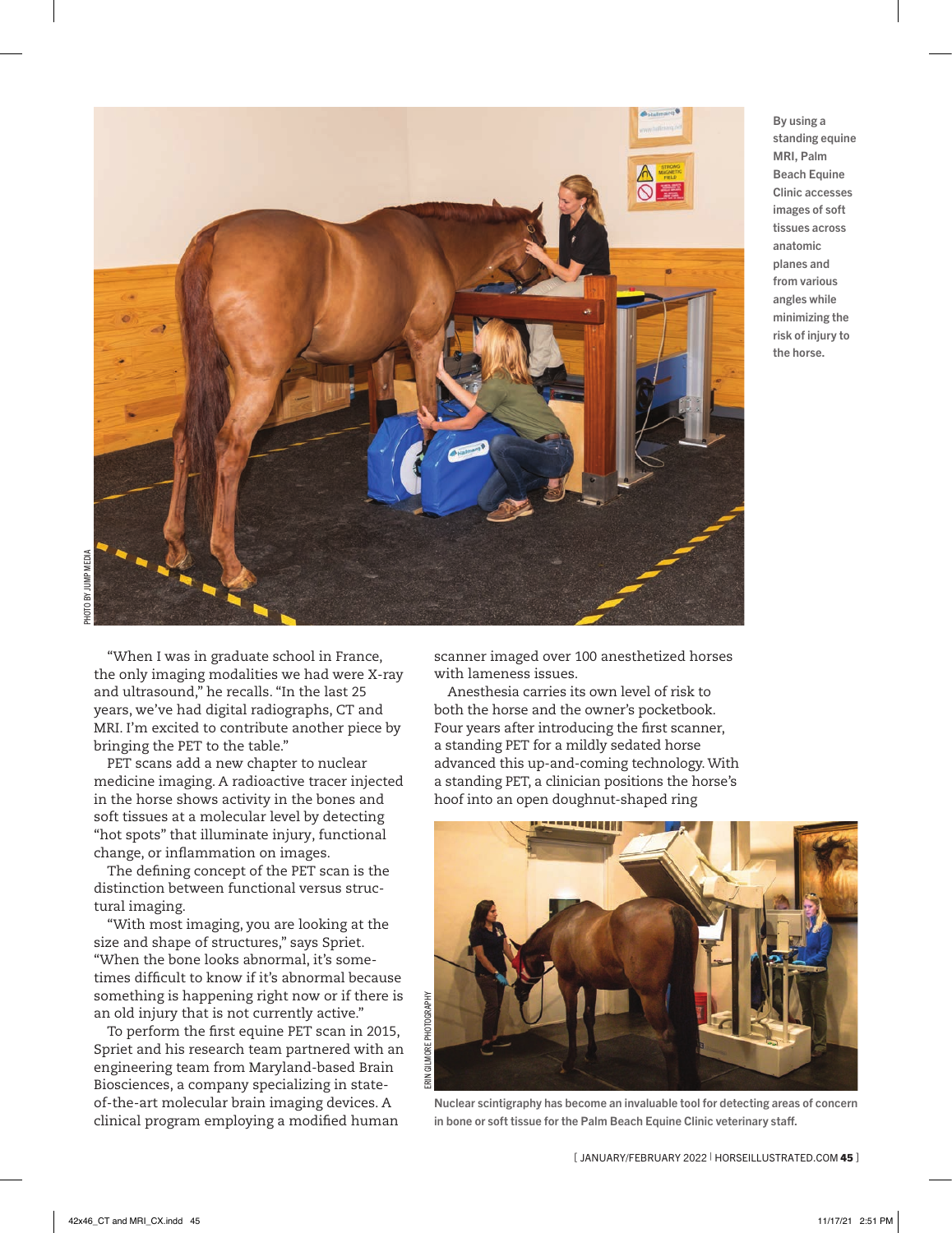

PHOTO BY JUMP MEDIA PHOTO BY JUMP MEDIA

> "When I was in graduate school in France, the only imaging modalities we had were X-ray and ultrasound," he recalls. "In the last 25 years, we've had digital radiographs, CT and MRI. I'm excited to contribute another piece by bringing the PET to the table."

> PET scans add a new chapter to nuclear medicine imaging. A radioactive tracer injected in the horse shows activity in the bones and soft tissues at a molecular level by detecting "hot spots" that illuminate injury, functional change, or inflammation on images.

The defining concept of the PET scan is the distinction between functional versus structural imaging.

"With most imaging, you are looking at the size and shape of structures," says Spriet. "When the bone looks abnormal, it's sometimes difficult to know if it's abnormal because something is happening right now or if there is an old injury that is not currently active."

To perform the first equine PET scan in 2015, Spriet and his research team partnered with an engineering team from Maryland-based Brain Biosciences, a company specializing in stateof-the-art molecular brain imaging devices. A clinical program employing a modified human

scanner imaged over 100 anesthetized horses with lameness issues.

Anesthesia carries its own level of risk to both the horse and the owner's pocketbook. Four years after introducing the first scanner, a standing PET for a mildly sedated horse advanced this up-and-coming technology. With a standing PET, a clinician positions the horse's hoof into an open doughnut-shaped ring



Nuclear scintigraphy has become an invaluable tool for detecting areas of concern in bone or soft tissue for the Palm Beach Equine Clinic veterinary staff.

[JANUARY/FEBRUARY 2022 | HORSEILLUSTRATED.COM 45 ]

By using a standing equine MRI, Palm Beach Equine Clinic accesses images of soft tissues across anatomic planes and from various angles while minimizing the risk of injury to the horse.